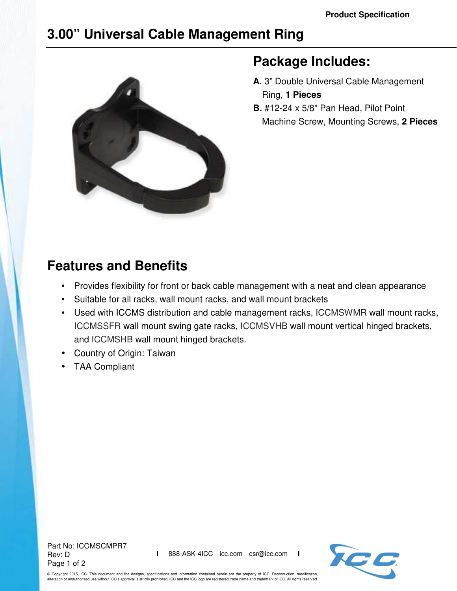# **3.00" Universal Cable Management Ring**



### **Package Includes:**

- **A.** 3" Double Universal Cable Management Ring, **1 Pieces**
- **B.** #12-24 x 5/8" Pan Head, Pilot Point Machine Screw, Mounting Screws, **2 Pieces**

## **Features and Benefits**

- Provides flexibility for front or back cable management with a neat and clean appearance
- Suitable for all racks, wall mount racks, and wall mount brackets
- Used with ICCMS distribution and cable management racks, ICCMSWMR wall mount racks, ICCMSSFR wall mount swing gate racks, ICCMSVHB wall mount vertical hinged brackets, and ICCMSHB wall mount hinged brackets.
- Country of Origin: Taiwan
- TAA Compliant

Part No: ICCMSCMPR7 Rev: D Page 1 of 2



© Copyright 2015, ICC. This document and the designs, specifications and information contained herein are the property of ICC. Reproduction, modification, alteration or unauthorized use without ICC's approval is strictly prohibited. ICC and the ICC logo are registered trade name and trademark of ICC. All rights reserved.